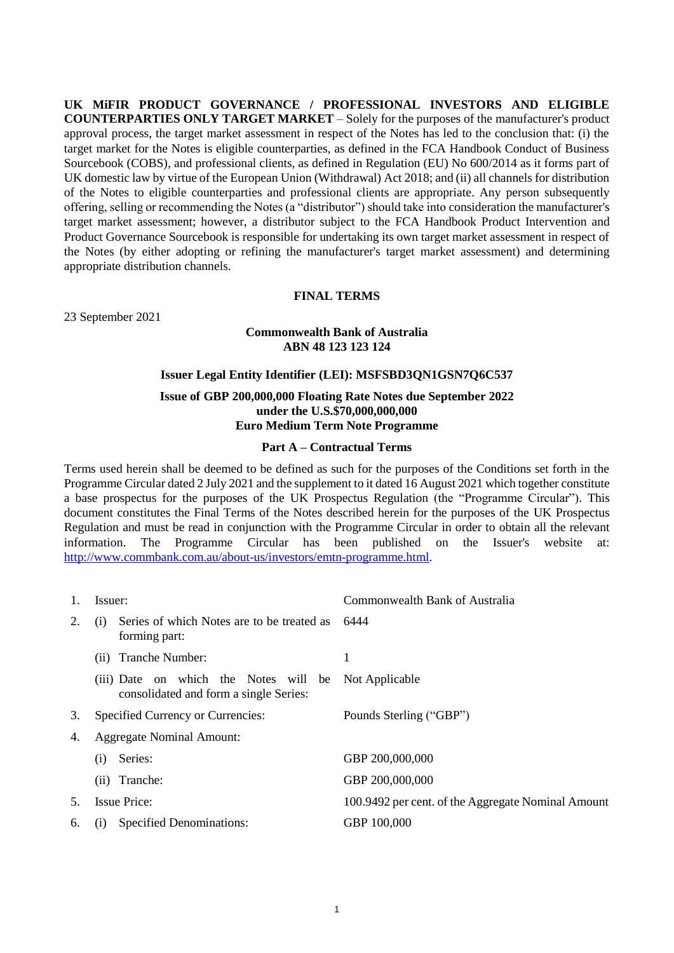**UK MiFIR PRODUCT GOVERNANCE / PROFESSIONAL INVESTORS AND ELIGIBLE COUNTERPARTIES ONLY TARGET MARKET** – Solely for the purposes of the manufacturer's product approval process, the target market assessment in respect of the Notes has led to the conclusion that: (i) the target market for the Notes is eligible counterparties, as defined in the FCA Handbook Conduct of Business Sourcebook (COBS), and professional clients, as defined in Regulation (EU) No 600/2014 as it forms part of UK domestic law by virtue of the European Union (Withdrawal) Act 2018; and (ii) all channels for distribution of the Notes to eligible counterparties and professional clients are appropriate. Any person subsequently offering, selling or recommending the Notes (a "distributor") should take into consideration the manufacturer's target market assessment; however, a distributor subject to the FCA Handbook Product Intervention and Product Governance Sourcebook is responsible for undertaking its own target market assessment in respect of the Notes (by either adopting or refining the manufacturer's target market assessment) and determining appropriate distribution channels.

#### **FINAL TERMS**

23 September 2021

## **Commonwealth Bank of Australia ABN 48 123 123 124**

# **Issuer Legal Entity Identifier (LEI): MSFSBD3QN1GSN7Q6C537 Issue of GBP 200,000,000 Floating Rate Notes due September 2022 under the U.S.\$70,000,000,000 Euro Medium Term Note Programme**

#### **Part A – Contractual Terms**

Terms used herein shall be deemed to be defined as such for the purposes of the Conditions set forth in the Programme Circular dated 2 July 2021 and the supplement to it dated 16 August 2021 which together constitute a base prospectus for the purposes of the UK Prospectus Regulation (the "Programme Circular"). This document constitutes the Final Terms of the Notes described herein for the purposes of the UK Prospectus Regulation and must be read in conjunction with the Programme Circular in order to obtain all the relevant information. The Programme Circular has been published on the Issuer's website at: [http://www.commbank.com.au/about-us/investors/emtn-programme.html.](http://www.commbank.com.au/about-us/investors/emtn-programme.html)

|    | Issuer:                                                                         | Commonwealth Bank of Australia                     |
|----|---------------------------------------------------------------------------------|----------------------------------------------------|
| 2. | Series of which Notes are to be treated as<br>(1)<br>forming part:              | 6444                                               |
|    | Tranche Number:<br>(11)                                                         | 1                                                  |
|    | (iii) Date on which the Notes will be<br>consolidated and form a single Series: | Not Applicable                                     |
| 3. | Specified Currency or Currencies:                                               | Pounds Sterling ("GBP")                            |
| 4. | <b>Aggregate Nominal Amount:</b>                                                |                                                    |
|    | Series:<br>(i)                                                                  | GBP 200,000,000                                    |
|    | Tranche:<br>(i)                                                                 | GBP 200,000,000                                    |
| 5. | <b>Issue Price:</b>                                                             | 100.9492 per cent. of the Aggregate Nominal Amount |
| 6. | <b>Specified Denominations:</b><br>(1)                                          | GBP 100,000                                        |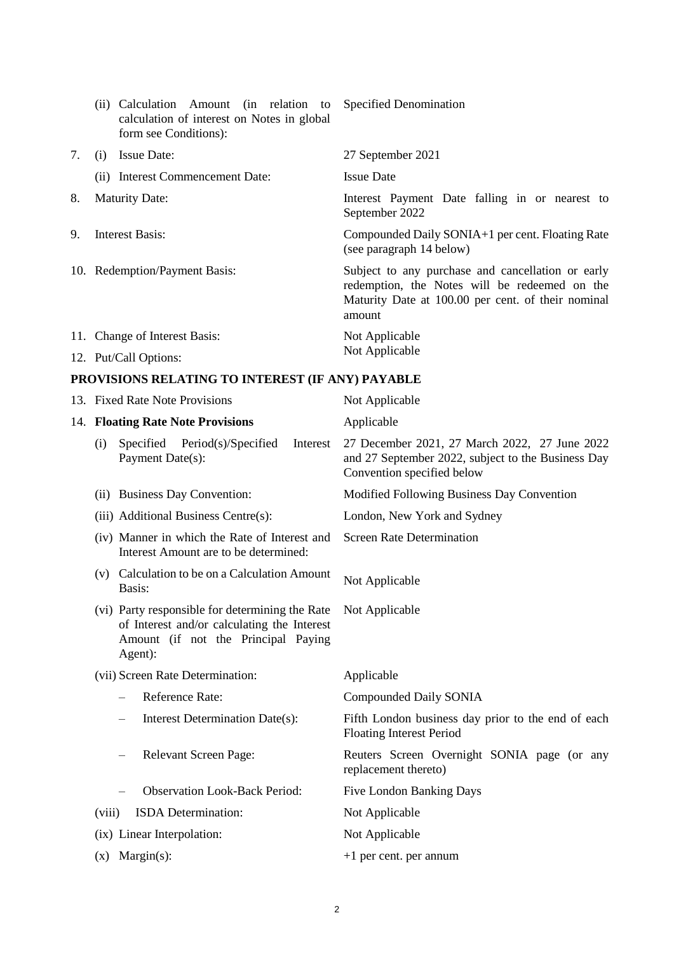|    | (ii) Calculation Amount (in relation to Specified Denomination<br>calculation of interest on Notes in global<br>form see Conditions): |                                                                                                                                                                    |
|----|---------------------------------------------------------------------------------------------------------------------------------------|--------------------------------------------------------------------------------------------------------------------------------------------------------------------|
| 7. | <b>Issue Date:</b><br>(i)                                                                                                             | 27 September 2021                                                                                                                                                  |
|    | (ii) Interest Commencement Date:                                                                                                      | <b>Issue Date</b>                                                                                                                                                  |
| 8. | <b>Maturity Date:</b>                                                                                                                 | Interest Payment Date falling in or nearest to<br>September 2022                                                                                                   |
| 9. | <b>Interest Basis:</b>                                                                                                                | Compounded Daily SONIA+1 per cent. Floating Rate<br>(see paragraph 14 below)                                                                                       |
|    | 10. Redemption/Payment Basis:                                                                                                         | Subject to any purchase and cancellation or early<br>redemption, the Notes will be redeemed on the<br>Maturity Date at 100.00 per cent. of their nominal<br>amount |
|    | 11. Change of Interest Basis:                                                                                                         | Not Applicable<br>Not Applicable                                                                                                                                   |
|    | 12. Put/Call Options:                                                                                                                 |                                                                                                                                                                    |

# **PROVISIONS RELATING TO INTEREST (IF ANY) PAYABLE**

<span id="page-1-0"></span>

|        | 13. Fixed Rate Note Provisions                                                                                                                   | Not Applicable                                                                                                                    |
|--------|--------------------------------------------------------------------------------------------------------------------------------------------------|-----------------------------------------------------------------------------------------------------------------------------------|
|        | 14. Floating Rate Note Provisions                                                                                                                | Applicable                                                                                                                        |
| (i)    | Specified<br>Period(s)/Specified<br>Interest<br>Payment Date(s):                                                                                 | 27 December 2021, 27 March 2022, 27 June 2022<br>and 27 September 2022, subject to the Business Day<br>Convention specified below |
|        | (ii) Business Day Convention:                                                                                                                    | Modified Following Business Day Convention                                                                                        |
|        | (iii) Additional Business Centre(s):                                                                                                             | London, New York and Sydney                                                                                                       |
|        | (iv) Manner in which the Rate of Interest and<br>Interest Amount are to be determined:                                                           | <b>Screen Rate Determination</b>                                                                                                  |
|        | (v) Calculation to be on a Calculation Amount<br>Basis:                                                                                          | Not Applicable                                                                                                                    |
|        | (vi) Party responsible for determining the Rate<br>of Interest and/or calculating the Interest<br>Amount (if not the Principal Paying<br>Agent): | Not Applicable                                                                                                                    |
|        | (vii) Screen Rate Determination:                                                                                                                 | Applicable                                                                                                                        |
|        | Reference Rate:                                                                                                                                  | Compounded Daily SONIA                                                                                                            |
|        | Interest Determination Date(s):                                                                                                                  | Fifth London business day prior to the end of each<br><b>Floating Interest Period</b>                                             |
|        | Relevant Screen Page:                                                                                                                            | Reuters Screen Overnight SONIA page (or any<br>replacement thereto)                                                               |
|        | <b>Observation Look-Back Period:</b>                                                                                                             | <b>Five London Banking Days</b>                                                                                                   |
| (viii) | ISDA Determination:                                                                                                                              | Not Applicable                                                                                                                    |
|        | (ix) Linear Interpolation:                                                                                                                       | Not Applicable                                                                                                                    |
|        | $(x)$ Margin(s):                                                                                                                                 | $+1$ per cent. per annum                                                                                                          |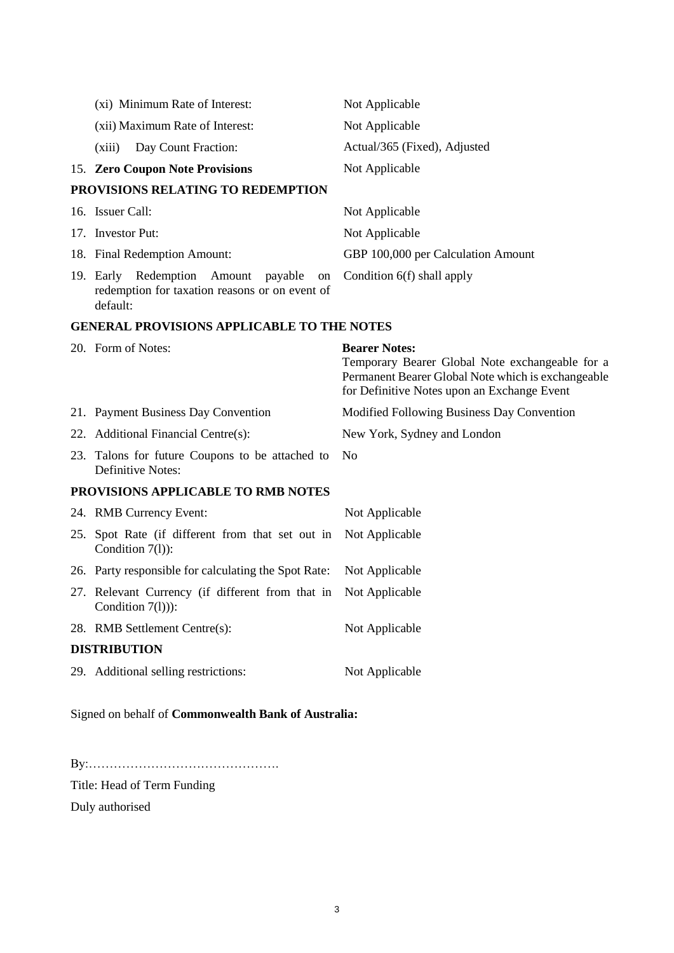|                                                   | (xi) Minimum Rate of Interest:                                                                                | Not Applicable                                                                                                                                                               |
|---------------------------------------------------|---------------------------------------------------------------------------------------------------------------|------------------------------------------------------------------------------------------------------------------------------------------------------------------------------|
|                                                   | (xii) Maximum Rate of Interest:                                                                               | Not Applicable                                                                                                                                                               |
|                                                   | Day Count Fraction:<br>(xiii)                                                                                 | Actual/365 (Fixed), Adjusted                                                                                                                                                 |
|                                                   | 15. Zero Coupon Note Provisions                                                                               | Not Applicable                                                                                                                                                               |
|                                                   | PROVISIONS RELATING TO REDEMPTION                                                                             |                                                                                                                                                                              |
|                                                   | 16. Issuer Call:                                                                                              | Not Applicable                                                                                                                                                               |
|                                                   | 17. Investor Put:                                                                                             | Not Applicable                                                                                                                                                               |
|                                                   | 18. Final Redemption Amount:                                                                                  | GBP 100,000 per Calculation Amount                                                                                                                                           |
|                                                   | 19. Early Redemption<br>Amount<br>payable<br>on<br>redemption for taxation reasons or on event of<br>default: | Condition 6(f) shall apply                                                                                                                                                   |
| <b>GENERAL PROVISIONS APPLICABLE TO THE NOTES</b> |                                                                                                               |                                                                                                                                                                              |
|                                                   | 20. Form of Notes:                                                                                            | <b>Bearer Notes:</b><br>Temporary Bearer Global Note exchangeable for a<br>Permanent Bearer Global Note which is exchangeable<br>for Definitive Notes upon an Exchange Event |
|                                                   | 21. Payment Business Day Convention                                                                           | Modified Following Business Day Convention                                                                                                                                   |
|                                                   | 22. Additional Financial Centre(s):                                                                           | New York, Sydney and London                                                                                                                                                  |
|                                                   | 23. Talons for future Coupons to be attached to<br>Definitive Notes:                                          | N <sub>o</sub>                                                                                                                                                               |
|                                                   | PROVISIONS APPLICABLE TO RMB NOTES                                                                            |                                                                                                                                                                              |
|                                                   | 24. RMB Currency Event:                                                                                       | Not Applicable                                                                                                                                                               |
|                                                   | 25. Spot Rate (if different from that set out in<br>Condition $7(l)$ :                                        | Not Applicable                                                                                                                                                               |
|                                                   | 26. Party responsible for calculating the Spot Rate:                                                          | Not Applicable                                                                                                                                                               |
|                                                   | 27. Relevant Currency (if different from that in<br>Condition $7(l)$ ):                                       | Not Applicable                                                                                                                                                               |
|                                                   | 28. RMB Settlement Centre(s):                                                                                 | Not Applicable                                                                                                                                                               |
|                                                   | <b>DISTRIBUTION</b>                                                                                           |                                                                                                                                                                              |
|                                                   |                                                                                                               |                                                                                                                                                                              |

Signed on behalf of **Commonwealth Bank of Australia:**

By:……………………………………….

Title: Head of Term Funding

Duly authorised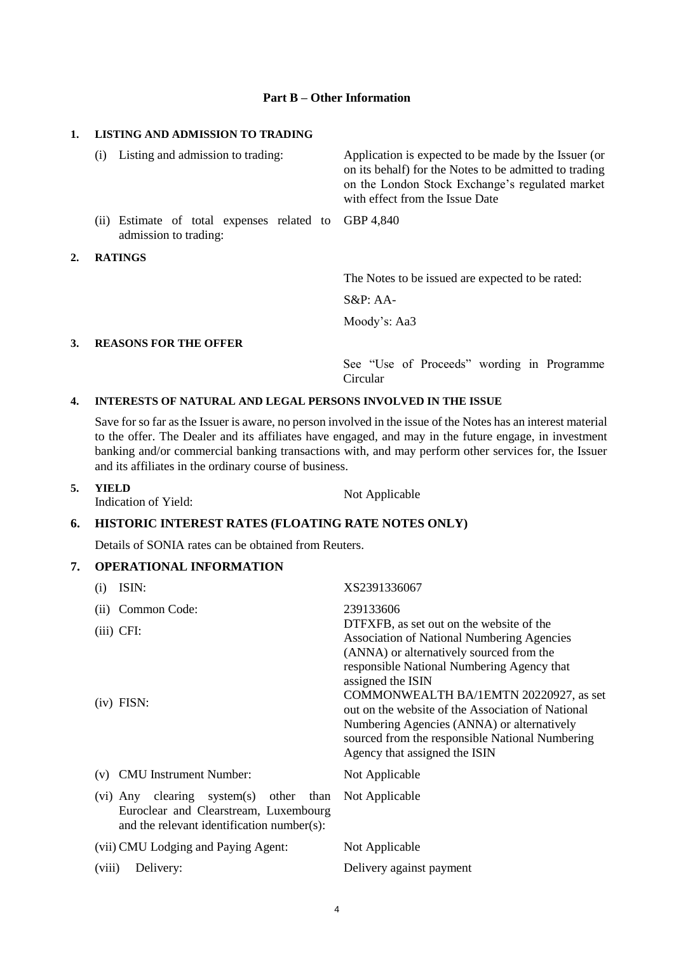#### **Part B – Other Information**

#### **1. LISTING AND ADMISSION TO TRADING**

|    | Listing and admission to trading:<br>(i)                            | Application is expected to be made by the Issuer (or<br>on its behalf) for the Notes to be admitted to trading<br>on the London Stock Exchange's regulated market<br>with effect from the Issue Date |
|----|---------------------------------------------------------------------|------------------------------------------------------------------------------------------------------------------------------------------------------------------------------------------------------|
|    | (ii) Estimate of total expenses related to<br>admission to trading: | GBP 4.840                                                                                                                                                                                            |
| 2. | <b>RATINGS</b>                                                      |                                                                                                                                                                                                      |
|    |                                                                     | The Notes to be issued are expected to be rated:                                                                                                                                                     |
|    |                                                                     | $S\&P:AA$                                                                                                                                                                                            |
|    |                                                                     | Moody's: Aa3                                                                                                                                                                                         |
| 3. | <b>REASONS FOR THE OFFER</b>                                        |                                                                                                                                                                                                      |
|    |                                                                     | See "Use of Proceeds" wording in Programme                                                                                                                                                           |

#### **4. INTERESTS OF NATURAL AND LEGAL PERSONS INVOLVED IN THE ISSUE**

Save for so far as the Issuer is aware, no person involved in the issue of the Notes has an interest material to the offer. The Dealer and its affiliates have engaged, and may in the future engage, in investment banking and/or commercial banking transactions with, and may perform other services for, the Issuer and its affiliates in the ordinary course of business.

Circular

**5. YIELD**  Indication of Yield: Not Applicable

#### **6. HISTORIC INTEREST RATES (FLOATING RATE NOTES ONLY)**

Details of SONIA rates can be obtained from Reuters.

## **7. OPERATIONAL INFORMATION**

| $\rm(i)$ | ISIN:                                                                                                                                 | XS2391336067                                                                                                                                                                                                                                                                                                                                                                                                                                  |
|----------|---------------------------------------------------------------------------------------------------------------------------------------|-----------------------------------------------------------------------------------------------------------------------------------------------------------------------------------------------------------------------------------------------------------------------------------------------------------------------------------------------------------------------------------------------------------------------------------------------|
| (i)      | Common Code:                                                                                                                          | 239133606                                                                                                                                                                                                                                                                                                                                                                                                                                     |
|          | $(iii)$ CFI:<br>$(iv)$ FISN:                                                                                                          | DTFXFB, as set out on the website of the<br><b>Association of National Numbering Agencies</b><br>(ANNA) or alternatively sourced from the<br>responsible National Numbering Agency that<br>assigned the ISIN<br>COMMONWEALTH BA/1EMTN 20220927, as set<br>out on the website of the Association of National<br>Numbering Agencies (ANNA) or alternatively<br>sourced from the responsible National Numbering<br>Agency that assigned the ISIN |
| (v)      | <b>CMU</b> Instrument Number:                                                                                                         | Not Applicable                                                                                                                                                                                                                                                                                                                                                                                                                                |
|          | clearing<br>system(s) other than<br>$(vi)$ Any<br>Euroclear and Clearstream, Luxembourg<br>and the relevant identification number(s): | Not Applicable                                                                                                                                                                                                                                                                                                                                                                                                                                |
|          | (vii) CMU Lodging and Paying Agent:                                                                                                   | Not Applicable                                                                                                                                                                                                                                                                                                                                                                                                                                |
| (viii)   | Delivery:                                                                                                                             | Delivery against payment                                                                                                                                                                                                                                                                                                                                                                                                                      |